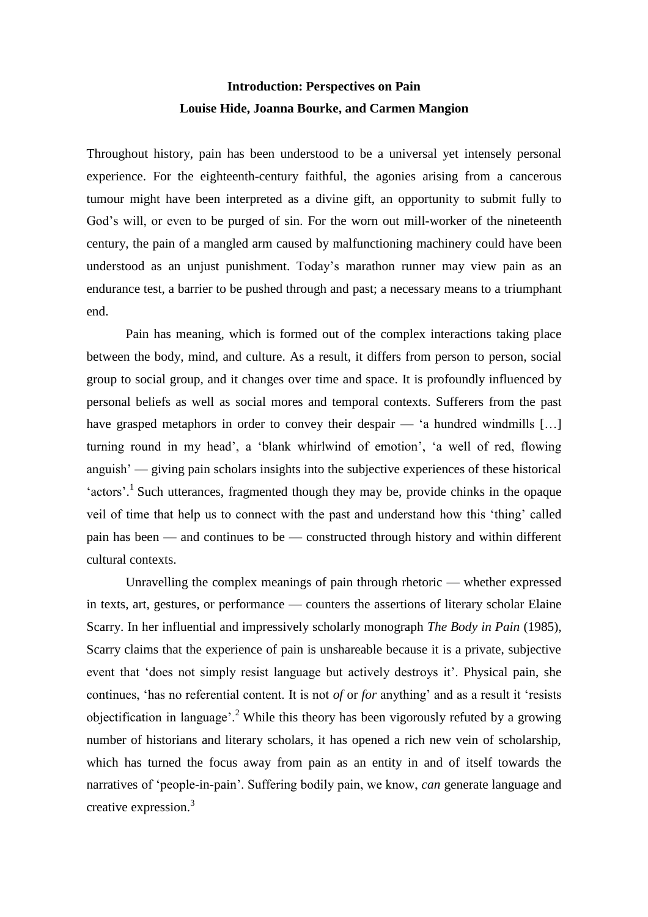# **Introduction: Perspectives on Pain Louise Hide, Joanna Bourke, and Carmen Mangion**

Throughout history, pain has been understood to be a universal yet intensely personal experience. For the eighteenth-century faithful, the agonies arising from a cancerous tumour might have been interpreted as a divine gift, an opportunity to submit fully to God's will, or even to be purged of sin. For the worn out mill-worker of the nineteenth century, the pain of a mangled arm caused by malfunctioning machinery could have been understood as an unjust punishment. Today's marathon runner may view pain as an endurance test, a barrier to be pushed through and past; a necessary means to a triumphant end.

Pain has meaning, which is formed out of the complex interactions taking place between the body, mind, and culture. As a result, it differs from person to person, social group to social group, and it changes over time and space. It is profoundly influenced by personal beliefs as well as social mores and temporal contexts. Sufferers from the past have grasped metaphors in order to convey their despair — 'a hundred windmills [...] turning round in my head', a 'blank whirlwind of emotion', 'a well of red, flowing anguish' — giving pain scholars insights into the subjective experiences of these historical 'actors'.<sup>1</sup> Such utterances, fragmented though they may be, provide chinks in the opaque veil of time that help us to connect with the past and understand how this 'thing' called pain has been — and continues to be — constructed through history and within different cultural contexts.

Unravelling the complex meanings of pain through rhetoric — whether expressed in texts, art, gestures, or performance — counters the assertions of literary scholar Elaine Scarry. In her influential and impressively scholarly monograph *The Body in Pain* (1985), Scarry claims that the experience of pain is unshareable because it is a private, subjective event that 'does not simply resist language but actively destroys it'. Physical pain, she continues, 'has no referential content. It is not *of* or *for* anything' and as a result it 'resists objectification in language'.<sup>2</sup> While this theory has been vigorously refuted by a growing number of historians and literary scholars, it has opened a rich new vein of scholarship, which has turned the focus away from pain as an entity in and of itself towards the narratives of 'people-in-pain'. Suffering bodily pain, we know, *can* generate language and creative expression.<sup>3</sup>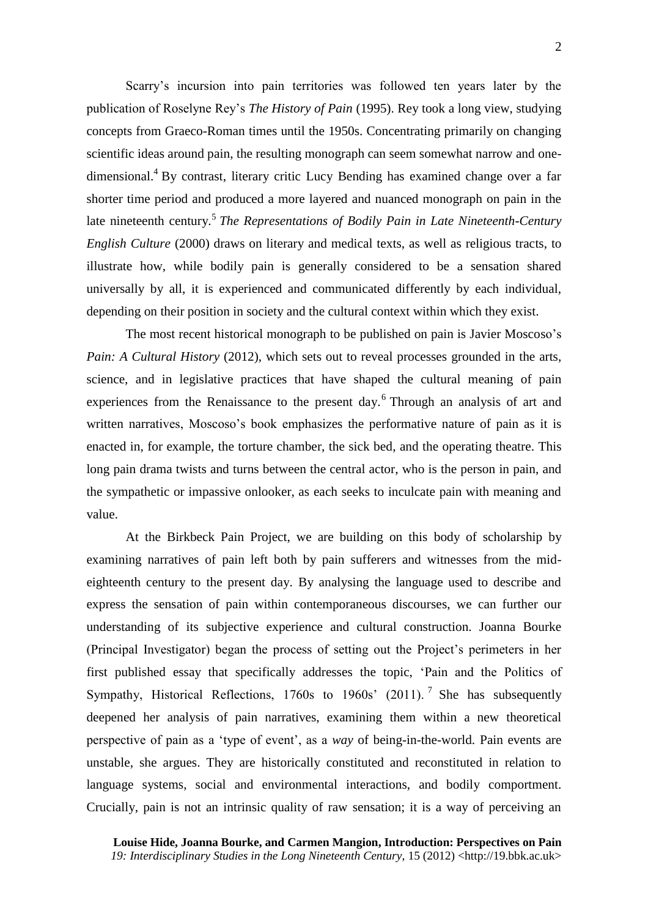Scarry's incursion into pain territories was followed ten years later by the publication of Roselyne Rey's *The History of Pain* (1995). Rey took a long view, studying concepts from Graeco-Roman times until the 1950s. Concentrating primarily on changing scientific ideas around pain, the resulting monograph can seem somewhat narrow and onedimensional.<sup>4</sup> By contrast, literary critic Lucy Bending has examined change over a far shorter time period and produced a more layered and nuanced monograph on pain in the late nineteenth century*.* 5 *The Representations of Bodily Pain in Late Nineteenth-Century English Culture* (2000) draws on literary and medical texts, as well as religious tracts, to illustrate how, while bodily pain is generally considered to be a sensation shared universally by all, it is experienced and communicated differently by each individual, depending on their position in society and the cultural context within which they exist.

The most recent historical monograph to be published on pain is Javier Moscoso's *Pain: A Cultural History* (2012), which sets out to reveal processes grounded in the arts, science, and in legislative practices that have shaped the cultural meaning of pain experiences from the Renaissance to the present day.<sup>6</sup> Through an analysis of art and written narratives, Moscoso's book emphasizes the performative nature of pain as it is enacted in, for example, the torture chamber, the sick bed, and the operating theatre. This long pain drama twists and turns between the central actor, who is the person in pain, and the sympathetic or impassive onlooker, as each seeks to inculcate pain with meaning and value.

At the Birkbeck Pain Project, we are building on this body of scholarship by examining narratives of pain left both by pain sufferers and witnesses from the mideighteenth century to the present day. By analysing the language used to describe and express the sensation of pain within contemporaneous discourses, we can further our understanding of its subjective experience and cultural construction. Joanna Bourke (Principal Investigator) began the process of setting out the Project's perimeters in her first published essay that specifically addresses the topic, 'Pain and the Politics of Sympathy, Historical Reflections,  $1760s$  to  $1960s'$  (2011).<sup>7</sup> She has subsequently deepened her analysis of pain narratives, examining them within a new theoretical perspective of pain as a 'type of event', as a *way* of being-in-the-world. Pain events are unstable, she argues. They are historically constituted and reconstituted in relation to language systems, social and environmental interactions, and bodily comportment. Crucially, pain is not an intrinsic quality of raw sensation; it is a way of perceiving an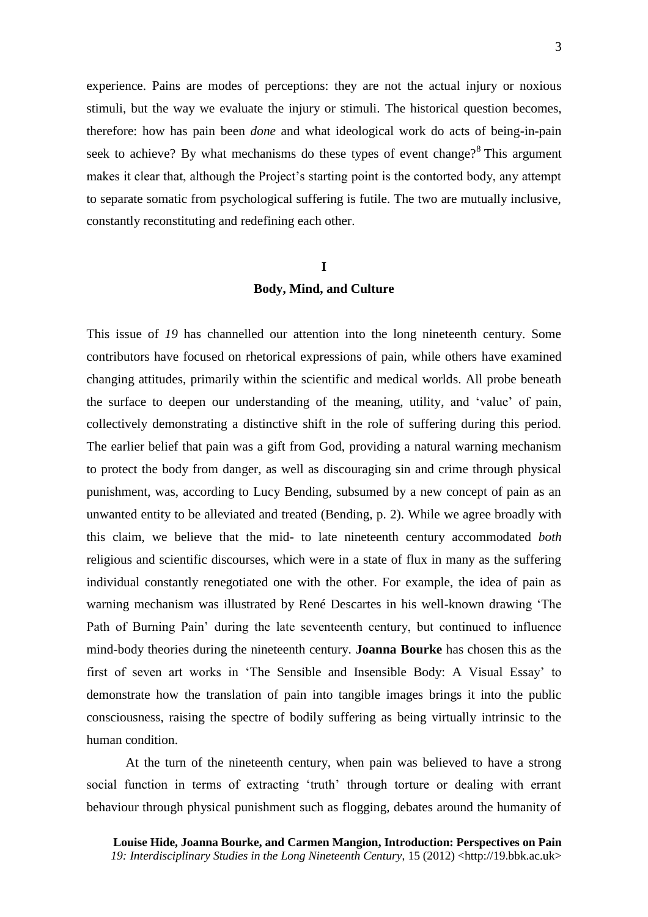experience. Pains are modes of perceptions: they are not the actual injury or noxious stimuli, but the way we evaluate the injury or stimuli. The historical question becomes, therefore: how has pain been *done* and what ideological work do acts of being-in-pain seek to achieve? By what mechanisms do these types of event change? $8$  This argument makes it clear that, although the Project's starting point is the contorted body, any attempt to separate somatic from psychological suffering is futile. The two are mutually inclusive, constantly reconstituting and redefining each other.

#### **I**

### **Body, Mind, and Culture**

This issue of *19* has channelled our attention into the long nineteenth century. Some contributors have focused on rhetorical expressions of pain, while others have examined changing attitudes, primarily within the scientific and medical worlds. All probe beneath the surface to deepen our understanding of the meaning, utility, and 'value' of pain, collectively demonstrating a distinctive shift in the role of suffering during this period. The earlier belief that pain was a gift from God, providing a natural warning mechanism to protect the body from danger, as well as discouraging sin and crime through physical punishment, was, according to Lucy Bending, subsumed by a new concept of pain as an unwanted entity to be alleviated and treated (Bending, p. 2). While we agree broadly with this claim, we believe that the mid- to late nineteenth century accommodated *both* religious and scientific discourses, which were in a state of flux in many as the suffering individual constantly renegotiated one with the other. For example, the idea of pain as warning mechanism was illustrated by René Descartes in his well-known drawing 'The Path of Burning Pain' during the late seventeenth century, but continued to influence mind-body theories during the nineteenth century. **Joanna Bourke** has chosen this as the first of seven art works in 'The Sensible and Insensible Body: A Visual Essay' to demonstrate how the translation of pain into tangible images brings it into the public consciousness, raising the spectre of bodily suffering as being virtually intrinsic to the human condition.

At the turn of the nineteenth century, when pain was believed to have a strong social function in terms of extracting 'truth' through torture or dealing with errant behaviour through physical punishment such as flogging, debates around the humanity of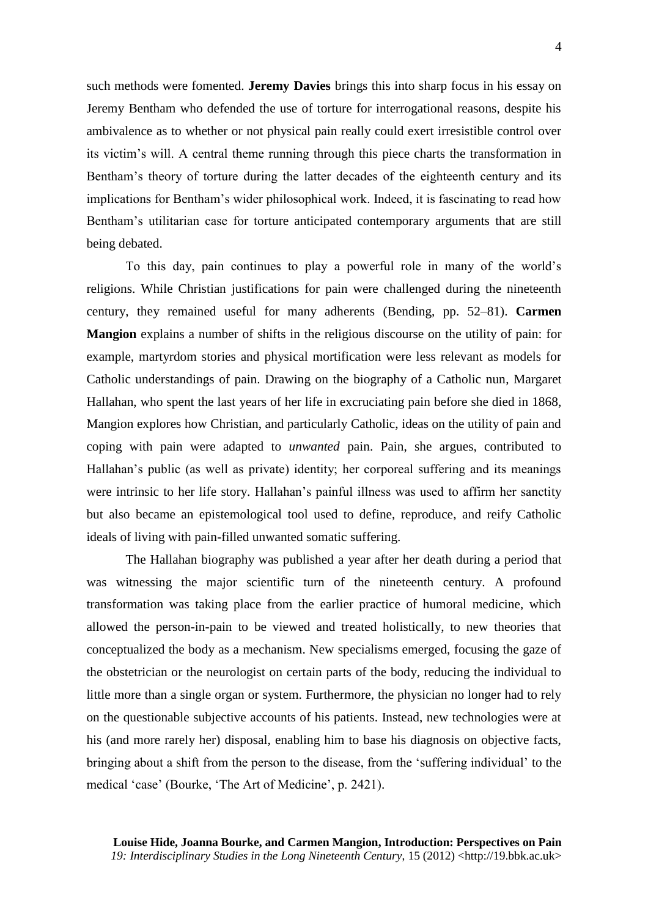such methods were fomented. **Jeremy Davies** brings this into sharp focus in his essay on Jeremy Bentham who defended the use of torture for interrogational reasons, despite his ambivalence as to whether or not physical pain really could exert irresistible control over its victim's will. A central theme running through this piece charts the transformation in Bentham's theory of torture during the latter decades of the eighteenth century and its implications for Bentham's wider philosophical work. Indeed, it is fascinating to read how Bentham's utilitarian case for torture anticipated contemporary arguments that are still being debated.

To this day, pain continues to play a powerful role in many of the world's religions. While Christian justifications for pain were challenged during the nineteenth century, they remained useful for many adherents (Bending, pp. 52–81). **Carmen Mangion** explains a number of shifts in the religious discourse on the utility of pain: for example, martyrdom stories and physical mortification were less relevant as models for Catholic understandings of pain. Drawing on the biography of a Catholic nun, Margaret Hallahan, who spent the last years of her life in excruciating pain before she died in 1868, Mangion explores how Christian, and particularly Catholic, ideas on the utility of pain and coping with pain were adapted to *unwanted* pain. Pain, she argues, contributed to Hallahan's public (as well as private) identity; her corporeal suffering and its meanings were intrinsic to her life story. Hallahan's painful illness was used to affirm her sanctity but also became an epistemological tool used to define, reproduce, and reify Catholic ideals of living with pain-filled unwanted somatic suffering.

The Hallahan biography was published a year after her death during a period that was witnessing the major scientific turn of the nineteenth century. A profound transformation was taking place from the earlier practice of humoral medicine, which allowed the person-in-pain to be viewed and treated holistically, to new theories that conceptualized the body as a mechanism. New specialisms emerged, focusing the gaze of the obstetrician or the neurologist on certain parts of the body, reducing the individual to little more than a single organ or system. Furthermore, the physician no longer had to rely on the questionable subjective accounts of his patients. Instead, new technologies were at his (and more rarely her) disposal, enabling him to base his diagnosis on objective facts, bringing about a shift from the person to the disease, from the 'suffering individual' to the medical 'case' (Bourke, 'The Art of Medicine', p. 2421).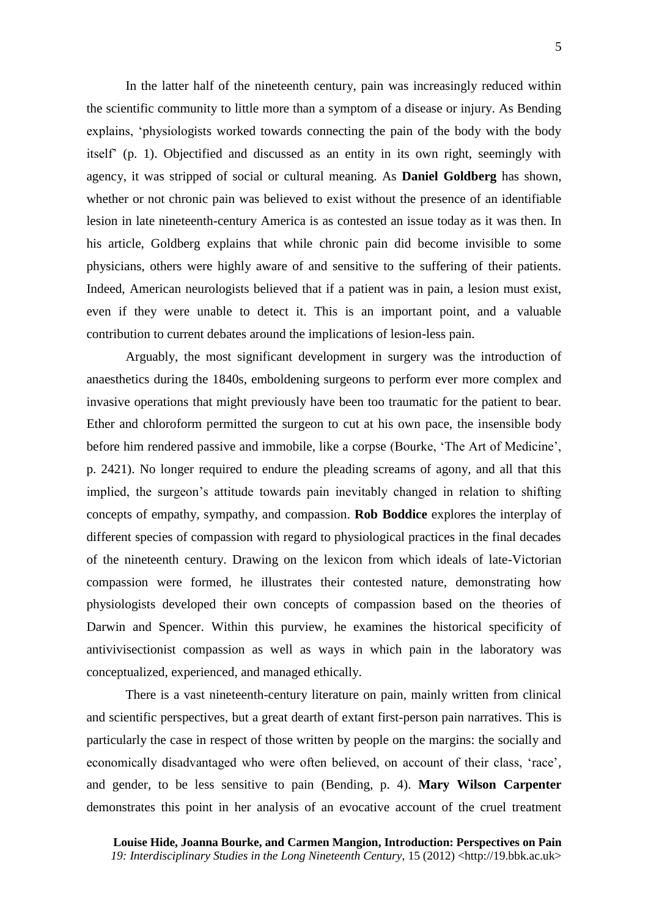In the latter half of the nineteenth century, pain was increasingly reduced within the scientific community to little more than a symptom of a disease or injury. As Bending explains, 'physiologists worked towards connecting the pain of the body with the body itself' (p. 1). Objectified and discussed as an entity in its own right, seemingly with agency, it was stripped of social or cultural meaning. As **Daniel Goldberg** has shown, whether or not chronic pain was believed to exist without the presence of an identifiable lesion in late nineteenth-century America is as contested an issue today as it was then. In his article, Goldberg explains that while chronic pain did become invisible to some physicians, others were highly aware of and sensitive to the suffering of their patients. Indeed, American neurologists believed that if a patient was in pain, a lesion must exist, even if they were unable to detect it. This is an important point, and a valuable contribution to current debates around the implications of lesion-less pain.

Arguably, the most significant development in surgery was the introduction of anaesthetics during the 1840s, emboldening surgeons to perform ever more complex and invasive operations that might previously have been too traumatic for the patient to bear. Ether and chloroform permitted the surgeon to cut at his own pace, the insensible body before him rendered passive and immobile, like a corpse (Bourke, 'The Art of Medicine', p. 2421). No longer required to endure the pleading screams of agony, and all that this implied, the surgeon's attitude towards pain inevitably changed in relation to shifting concepts of empathy, sympathy, and compassion. **Rob Boddice** explores the interplay of different species of compassion with regard to physiological practices in the final decades of the nineteenth century. Drawing on the lexicon from which ideals of late-Victorian compassion were formed, he illustrates their contested nature, demonstrating how physiologists developed their own concepts of compassion based on the theories of Darwin and Spencer. Within this purview, he examines the historical specificity of antivivisectionist compassion as well as ways in which pain in the laboratory was conceptualized, experienced, and managed ethically.

There is a vast nineteenth-century literature on pain, mainly written from clinical and scientific perspectives, but a great dearth of extant first-person pain narratives. This is particularly the case in respect of those written by people on the margins: the socially and economically disadvantaged who were often believed, on account of their class, 'race', and gender, to be less sensitive to pain (Bending, p. 4). **Mary Wilson Carpenter** demonstrates this point in her analysis of an evocative account of the cruel treatment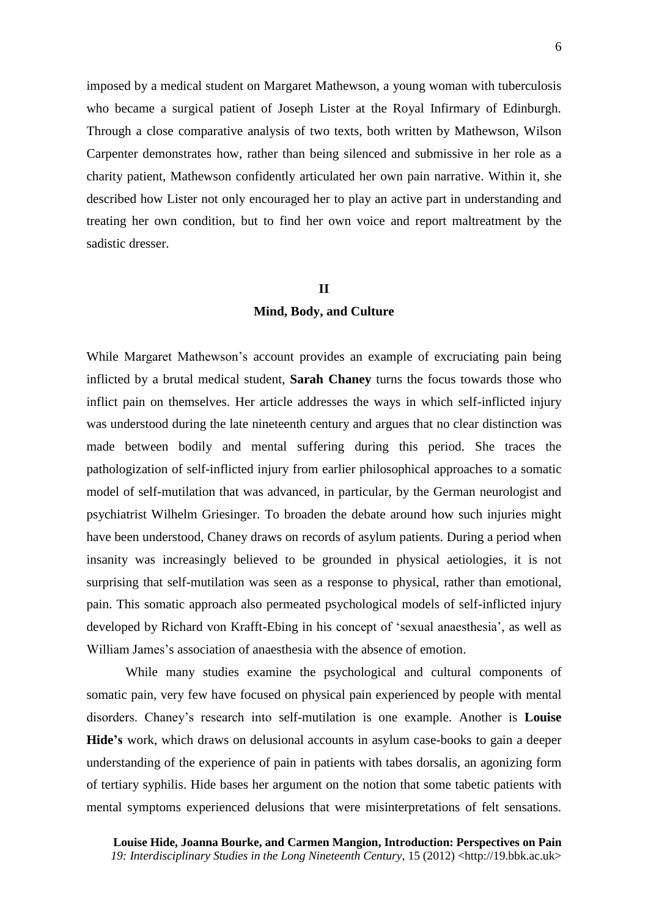imposed by a medical student on Margaret Mathewson, a young woman with tuberculosis who became a surgical patient of Joseph Lister at the Royal Infirmary of Edinburgh. Through a close comparative analysis of two texts, both written by Mathewson, Wilson Carpenter demonstrates how, rather than being silenced and submissive in her role as a charity patient, Mathewson confidently articulated her own pain narrative. Within it, she described how Lister not only encouraged her to play an active part in understanding and treating her own condition, but to find her own voice and report maltreatment by the sadistic dresser.

#### **II**

### **Mind, Body, and Culture**

While Margaret Mathewson's account provides an example of excruciating pain being inflicted by a brutal medical student, **Sarah Chaney** turns the focus towards those who inflict pain on themselves. Her article addresses the ways in which self-inflicted injury was understood during the late nineteenth century and argues that no clear distinction was made between bodily and mental suffering during this period. She traces the pathologization of self-inflicted injury from earlier philosophical approaches to a somatic model of self-mutilation that was advanced, in particular, by the German neurologist and psychiatrist Wilhelm Griesinger. To broaden the debate around how such injuries might have been understood, Chaney draws on records of asylum patients. During a period when insanity was increasingly believed to be grounded in physical aetiologies, it is not surprising that self-mutilation was seen as a response to physical, rather than emotional, pain. This somatic approach also permeated psychological models of self-inflicted injury developed by Richard von Krafft-Ebing in his concept of 'sexual anaesthesia', as well as William James's association of anaesthesia with the absence of emotion.

While many studies examine the psychological and cultural components of somatic pain, very few have focused on physical pain experienced by people with mental disorders. Chaney's research into self-mutilation is one example. Another is **Louise Hide's** work, which draws on delusional accounts in asylum case-books to gain a deeper understanding of the experience of pain in patients with tabes dorsalis, an agonizing form of tertiary syphilis. Hide bases her argument on the notion that some tabetic patients with mental symptoms experienced delusions that were misinterpretations of felt sensations.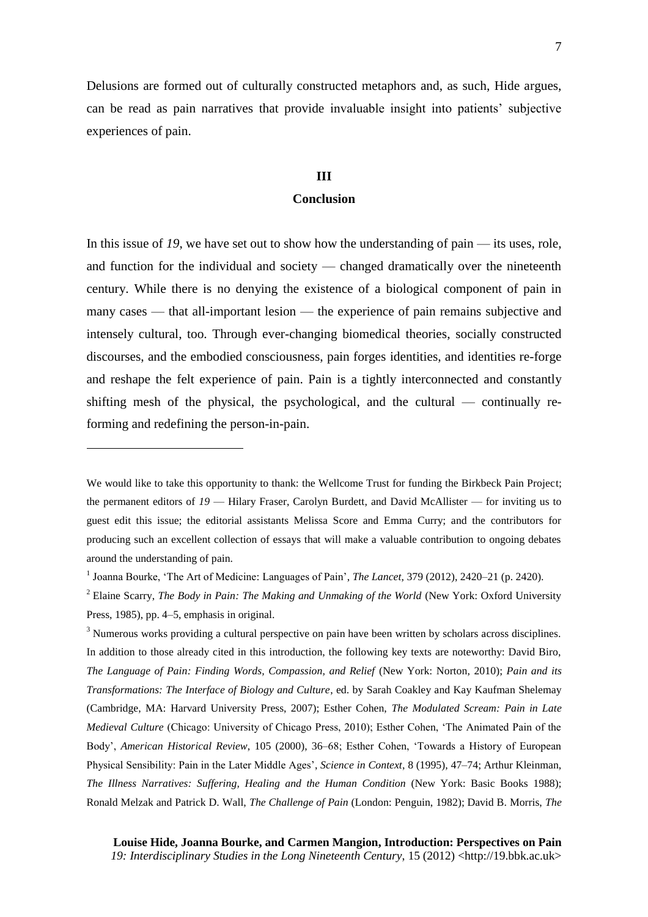Delusions are formed out of culturally constructed metaphors and, as such, Hide argues, can be read as pain narratives that provide invaluable insight into patients' subjective experiences of pain.

## **III**

#### **Conclusion**

In this issue of 19, we have set out to show how the understanding of pain — its uses, role, and function for the individual and society — changed dramatically over the nineteenth century. While there is no denying the existence of a biological component of pain in many cases — that all-important lesion — the experience of pain remains subjective and intensely cultural, too. Through ever-changing biomedical theories, socially constructed discourses, and the embodied consciousness, pain forges identities, and identities re-forge and reshape the felt experience of pain. Pain is a tightly interconnected and constantly shifting mesh of the physical, the psychological, and the cultural — continually reforming and redefining the person-in-pain.

 $\overline{a}$ 

<sup>3</sup> Numerous works providing a cultural perspective on pain have been written by scholars across disciplines. In addition to those already cited in this introduction, the following key texts are noteworthy: David Biro, *The Language of Pain: Finding Words, Compassion, and Relief* (New York: Norton, 2010); *Pain and its Transformations: The Interface of Biology and Culture*, ed. by Sarah Coakley and Kay Kaufman Shelemay (Cambridge, MA: Harvard University Press, 2007); Esther Cohen, *The Modulated Scream: Pain in Late Medieval Culture* (Chicago: University of Chicago Press, 2010); Esther Cohen, 'The Animated Pain of the Body', *American Historical Review*, 105 (2000), 36–68; Esther Cohen, 'Towards a History of European Physical Sensibility: Pain in the Later Middle Ages', *Science in Context*, 8 (1995), 47–74; Arthur Kleinman, *The Illness Narratives: Suffering, Healing and the Human Condition* (New York: Basic Books 1988); Ronald Melzak and Patrick D. Wall, *The Challenge of Pain* (London: Penguin, 1982); David B. Morris, *The* 

**Louise Hide, Joanna Bourke, and Carmen Mangion, Introduction: Perspectives on Pain** *19: Interdisciplinary Studies in the Long Nineteenth Century*, 15 (2012) <http://19.bbk.ac.uk>

We would like to take this opportunity to thank: the Wellcome Trust for funding the Birkbeck Pain Project; the permanent editors of *19* — Hilary Fraser, Carolyn Burdett, and David McAllister — for inviting us to guest edit this issue; the editorial assistants Melissa Score and Emma Curry; and the contributors for producing such an excellent collection of essays that will make a valuable contribution to ongoing debates around the understanding of pain.

<sup>&</sup>lt;sup>1</sup> Joanna Bourke, 'The Art of Medicine: Languages of Pain', *The Lancet*, 379 (2012), 2420–21 (p. 2420).

<sup>2</sup> Elaine Scarry, *The Body in Pain: The Making and Unmaking of the World* (New York: Oxford University Press, 1985), pp. 4–5, emphasis in original.